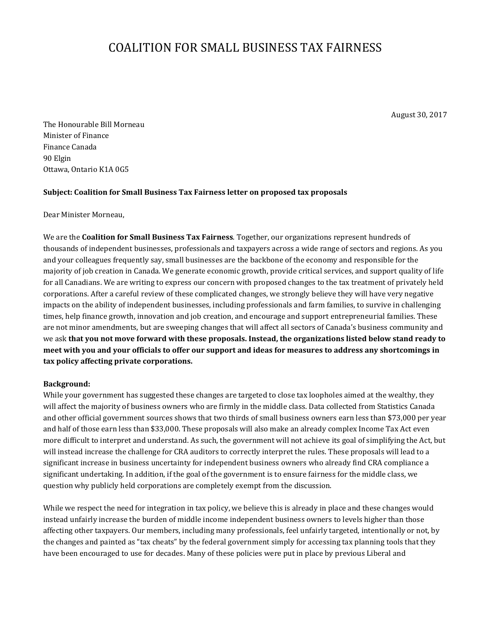# COALITION FOR SMALL BUSINESS TAX FAIRNESS

August 30, 2017

The Honourable Bill Morneau Minister of Finance Finance Canada 90 Elgin Ottawa, Ontario K1A 0G5

## **Subject: Coalition for Small Business Tax Fairness letter on proposed tax proposals**

Dear Minister Morneau,

 and your colleagues frequently say, small businesses are the backbone of the economy and responsible for the majority of job creation in Canada. We generate economic growth, provide critical services, and support quality of life corporations. After a careful review of these complicated changes, we strongly believe they will have very negative times, help finance growth, innovation and job creation, and encourage and support entrepreneurial families. These are not minor amendments, but are sweeping changes that will affect all sectors of Canada's business community and We are the **Coalition for Small Business Tax Fairness**. Together, our organizations represent hundreds of thousands of independent businesses, professionals and taxpayers across a wide range of sectors and regions. As you for all Canadians. We are writing to express our concern with proposed changes to the tax treatment of privately held impacts on the ability of independent businesses, including professionals and farm families, to survive in challenging we ask **that you not move forward with these proposals. Instead, the organizations listed below stand ready to meet with you and your officials to offer our support and ideas for measures to address any shortcomings in tax policy affecting private corporations.** 

## **Background:**

 will affect the majority of business owners who are firmly in the middle class. Data collected from Statistics Canada and other official government sources shows that two thirds of small business owners earn less than \$73,000 per year and half of those earn less than \$33,000. These proposals will also make an already complex Income Tax Act even question why publicly held corporations are completely exempt from the discussion. While your government has suggested these changes are targeted to close tax loopholes aimed at the wealthy, they more difficult to interpret and understand. As such, the government will not achieve its goal of simplifying the Act, but will instead increase the challenge for CRA auditors to correctly interpret the rules. These proposals will lead to a significant increase in business uncertainty for independent business owners who already find CRA compliance a significant undertaking. In addition, if the goal of the government is to ensure fairness for the middle class, we

 While we respect the need for integration in tax policy, we believe this is already in place and these changes would affecting other taxpayers. Our members, including many professionals, feel unfairly targeted, intentionally or not, by the changes and painted as "tax cheats" by the federal government simply for accessing tax planning tools that they have been encouraged to use for decades. Many of these policies were put in place by previous Liberal and instead unfairly increase the burden of middle income independent business owners to levels higher than those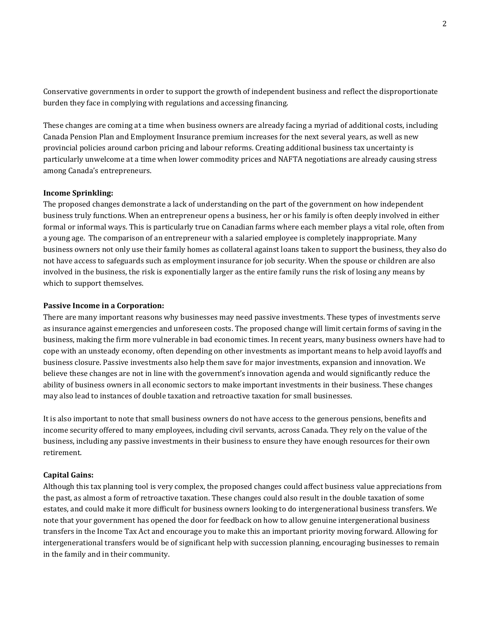burden they face in complying with regulations and accessing financing. Conservative governments in order to support the growth of independent business and reflect the disproportionate

 provincial policies around carbon pricing and labour reforms. Creating additional business tax uncertainty is These changes are coming at a time when business owners are already facing a myriad of additional costs, including Canada Pension Plan and Employment Insurance premium increases for the next several years, as well as new particularly unwelcome at a time when lower commodity prices and NAFTA negotiations are already causing stress among Canada's entrepreneurs.

#### **Income Sprinkling:**

 The proposed changes demonstrate a lack of understanding on the part of the government on how independent formal or informal ways. This is particularly true on Canadian farms where each member plays a vital role, often from a young age. The comparison of an entrepreneur with a salaried employee is completely inappropriate. Many not have access to safeguards such as employment insurance for job security. When the spouse or children are also involved in the business, the risk is exponentially larger as the entire family runs the risk of losing any means by which to support themselves. business truly functions. When an entrepreneur opens a business, her or his family is often deeply involved in either business owners not only use their family homes as collateral against loans taken to support the business, they also do

#### **Passive Income in a Corporation:**

 as insurance against emergencies and unforeseen costs. The proposed change will limit certain forms of saving in the cope with an unsteady economy, often depending on other investments as important means to help avoid layoffs and There are many important reasons why businesses may need passive investments. These types of investments serve business, making the firm more vulnerable in bad economic times. In recent years, many business owners have had to business closure. Passive investments also help them save for major investments, expansion and innovation. We believe these changes are not in line with the government's innovation agenda and would significantly reduce the ability of business owners in all economic sectors to make important investments in their business. These changes may also lead to instances of double taxation and retroactive taxation for small businesses.

 retirement. It is also important to note that small business owners do not have access to the generous pensions, benefits and income security offered to many employees, including civil servants, across Canada. They rely on the value of the business, including any passive investments in their business to ensure they have enough resources for their own

## **Capital Gains:**

 transfers in the Income Tax Act and encourage you to make this an important priority moving forward. Allowing for Although this tax planning tool is very complex, the proposed changes could affect business value appreciations from the past, as almost a form of retroactive taxation. These changes could also result in the double taxation of some estates, and could make it more difficult for business owners looking to do intergenerational business transfers. We note that your government has opened the door for feedback on how to allow genuine intergenerational business intergenerational transfers would be of significant help with succession planning, encouraging businesses to remain in the family and in their community.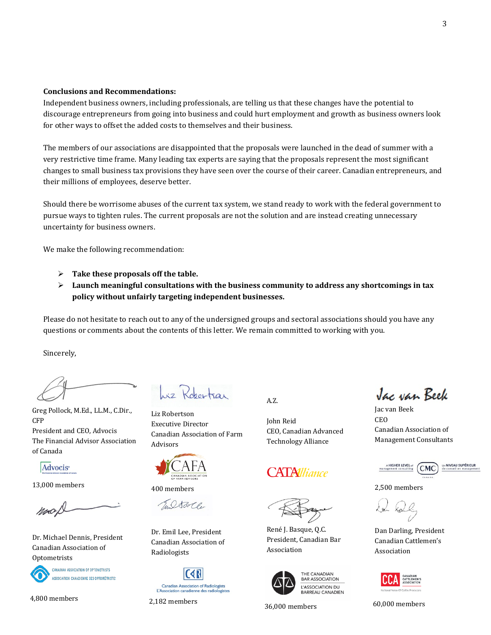## **Conclusions and Recommendations:**

for other ways to offset the added costs to themselves and their business. Independent business owners, including professionals, are telling us that these changes have the potential to discourage entrepreneurs from going into business and could hurt employment and growth as business owners look

for other ways to offset the added costs to themselves and their business.<br>The members of our associations are disappointed that the proposals were launched in the dead of summer with a very restrictive time frame. Many leading tax experts are saying that the proposals represent the most significant changes to small business tax provisions they have seen over the course of their career. Canadian entrepreneurs, and their millions of employees, deserve better.

 pursue ways to tighten rules. The current proposals are not the solution and are instead creating unnecessary Should there be worrisome abuses of the current tax system, we stand ready to work with the federal government to uncertainty for business owners.

We make the following recommendation:

- **Take these proposals off the table.**
- $\triangleright$  Launch meaningful consultations with the business community to address any shortcomings in tax **policy without unfairly targeting independent businesses.**

Please do not hesitate to reach out to any of the undersigned groups and sectoral associations should you have any questions or comments about the contents of this letter. We remain committed to working with you.

Sincerely,

Greg Pollock, M.Ed., LL.M., C.Dir., CFP President and CEO, Advocis The Financial Advisor Association of Canada

Advocis<sup>®</sup>

13,000 members

Dr. Michael Dennis, President Canadian Association of Optometrists



**CANADIAN ASSOCIATION OF OPTOMETRISTS** ASSOCIATION CANADIENNE DES OPTOMÉTRISTES

hiz Robertsar

Liz Robertson Executive Director Canadian Association of Farm Advisors



400 members

G.Ostarte

Dr. Emil Lee, President Canadian Association of Radiologists



A.Z.

John Reid CEO, Canadian Advanced Technology Alliance

## **CATAlliance**

René J. Basque, Q.C. President, Canadian Bar Association



THE CANADIAN **BAR ASSOCIATION** L'ASSOCIATION DU **BARREAU CANADIEN** 

4,800 members 2,182 members 36,000 members 60,000 members 60,000 members

Jac van Beek

Jac van Beek CEO Canadian Association of Management Consultants



NIVEAU SUPÉRIEUR

2,500 members

Dan Darling, President Canadian Cattlemen's Association

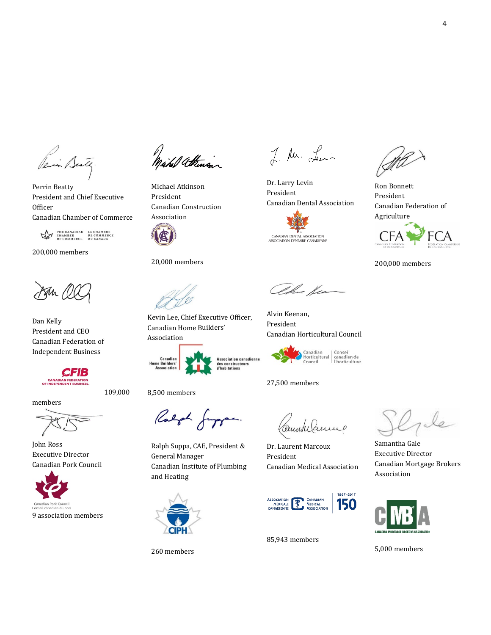Perin Beats

Perrin Beatty President and Chief Executive **Officer** Canadian Chamber of Commerce

THE CANADIAN LA CHAMBRE<br>CHAMBER DE COMMERCE<br>OF COMMERCE DU CANADA

200,000 members

Pan NU

Dan Kelly President and CEO Canadian Federation of Independent Business



109,000

members

John Ross Executive Director Canadian Pork Council



1)<br>Mahel attenson

Michael Atkinson President Canadian Construction Association

20,000 members

Kevin Lee, Chief Executive Officer, Canadian Home Builders' Association



8,500 members

General Manager

and Heating

260 members

CIPF

Ralph Suppa, CAE, President &

Ralph Jupper.

Canadian Institute of Plumbing

Association canadienne<br>des constructeurs<br>d'habitations

Canadian Conseil<br>Horticultural canadien de<br>Council l'horticulture

Canadian Horticultural Council

27,500 members

Alvin Keenan, President

Dr. Larry Levin President

CANADIAN DENTAL ASSOCIATION<br>ASSOCIATION DENTAIRE CANADIENNE

alma fer

Canadian Dental Association

J. Mr. Lewin

Ceunkelanne

 Dr. Laurent Marcoux President Canadian Medical Association



85,943 members

 Canadian Federation of Ron Bonnett President Agriculture



200,000 members

Samantha Gale Executive Director Canadian Mortgage Brokers Association



5,000 members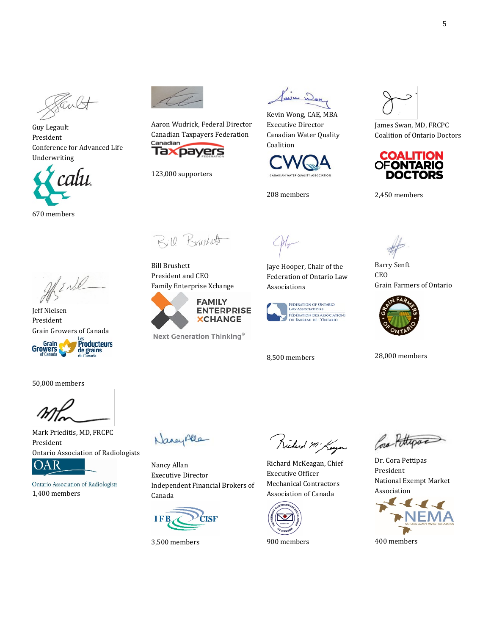Guy Legault President Conference for Advanced Life Underwriting



Aaron Wudrick, Federal Director Canadian Taxpayers Federation Taxpayers

123,000 supporters

Kavin Won

 Kevin Wong, CAE, MBA Executive Director Canadian Water Quality Coalition



208 members

 Coalition of Ontario Doctors James Swan, MD, FRCPC



2,450 members

Afric

Jeff Nielsen President Grain Growers of Canada



50,000 members

President Mark Prieditis, MD, FRCPC **Ontario Association of Radiologists** 

OAR

Ontario Association of Radiologists 1,400 members

Bill Brushett

 Family Enterprise Xchange Bill Brushett President and CEO



Next Generation Thinking®



 Federation of Ontario Law Jaye Hooper, Chair of the Associations



8,500 members

Barry Senft CEO Grain Farmers of Ontario



28,000 members

Nancy Alle

Nancy Allan Executive Director Independent Financial Brokers of Canada



3,500 members

Richard Mi Kaya

Richard McKeagan, Chief Executive Officer Mechanical Contractors Association of Canada



900 members

Cora Pettrova

Dr. Cora Pettipas President National Exempt Market Association



400 members

5